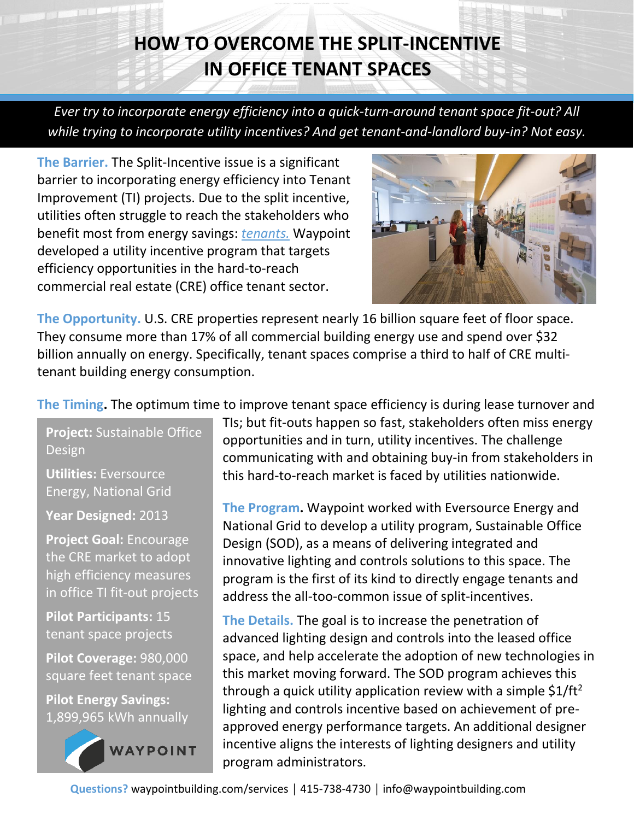## **HOW TO OVERCOME THE SPLIT-INCENTIVE IN OFFICE TENANT SPACES**

*Ever try to incorporate energy efficiency into a quick-turn-around tenant space fit-out? All while trying to incorporate utility incentives? And get tenant-and-landlord buy-in? Not easy.* 

**The Barrier.** The Split-Incentive issue is a significant barrier to incorporating energy efficiency into Tenant Improvement (TI) projects. Due to the split incentive, utilities often struggle to reach the stakeholders who benefit most from energy savings: *tenants.* Waypoint developed a utility incentive program that targets efficiency opportunities in the hard-to-reach commercial real estate (CRE) office tenant sector.



**The Opportunity.** U.S. CRE properties represent nearly 16 billion square feet of floor space. They consume more than 17% of all commercial building energy use and spend over \$32 billion annually on energy. Specifically, tenant spaces comprise a third to half of CRE multitenant building energy consumption.

**The Timing.** The optimum time to improve tenant space efficiency is during lease turnover and

**Project:** Sustainable Office Design

**Utilities:** Eversource Energy, National Grid

**Year Designed:** 2013

**Project Goal:** Encourage the CRE market to adopt high efficiency measures in office TI fit-out projects

**Pilot Participants:** 15 tenant space projects

**Pilot Coverage:** 980,000 square feet tenant space

**Pilot Energy Savings:** 1,899,965 kWh annually



TIs; but fit-outs happen so fast, stakeholders often miss energy opportunities and in turn, utility incentives. The challenge communicating with and obtaining buy-in from stakeholders in this hard-to-reach market is faced by utilities nationwide.

**The Program.** Waypoint worked with Eversource Energy and National Grid to develop a utility program, Sustainable Office Design (SOD), as a means of delivering integrated and innovative lighting and controls solutions to this space. The program is the first of its kind to directly engage tenants and address the all-too-common issue of split-incentives.

**The Details.** The goal is to increase the penetration of advanced lighting design and controls into the leased office space, and help accelerate the adoption of new technologies in this market moving forward. The SOD program achieves this through a quick utility application review with a simple  $$1/ft<sup>2</sup>$ lighting and controls incentive based on achievement of preapproved energy performance targets. An additional designer incentive aligns the interests of lighting designers and utility program administrators.